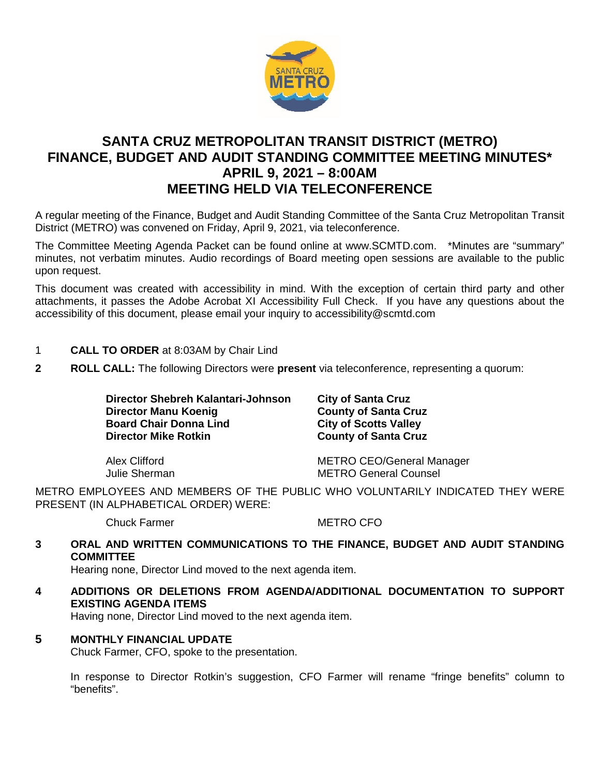

# **SANTA CRUZ METROPOLITAN TRANSIT DISTRICT (METRO) FINANCE, BUDGET AND AUDIT STANDING COMMITTEE MEETING MINUTES\* APRIL 9, 2021 – 8:00AM MEETING HELD VIA TELECONFERENCE**

A regular meeting of the Finance, Budget and Audit Standing Committee of the Santa Cruz Metropolitan Transit District (METRO) was convened on Friday, April 9, 2021, via teleconference.

The Committee Meeting Agenda Packet can be found online at www.SCMTD.com. \*Minutes are "summary" minutes, not verbatim minutes. Audio recordings of Board meeting open sessions are available to the public upon request.

This document was created with accessibility in mind. With the exception of certain third party and other attachments, it passes the Adobe Acrobat XI Accessibility Full Check. If you have any questions about the accessibility of this document, please email your inquiry to accessibility@scmtd.com

- 1 **CALL TO ORDER** at 8:03AM by Chair Lind
- **2 ROLL CALL:** The following Directors were **present** via teleconference, representing a quorum:

**Director Shebreh Kalantari-Johnson City of Santa Cruz Director Manu Koenig**<br> **Board Chair Donna Lind City of Scotts Valley Board Chair Donna Lind<br>Director Mike Rotkin** 

**County of Santa Cruz** 

Alex Clifford METRO CEO/General Manager Julie Sherman METRO General Counsel

METRO EMPLOYEES AND MEMBERS OF THE PUBLIC WHO VOLUNTARILY INDICATED THEY WERE PRESENT (IN ALPHABETICAL ORDER) WERE:

Chuck Farmer METRO CFO

## **3 ORAL AND WRITTEN COMMUNICATIONS TO THE FINANCE, BUDGET AND AUDIT STANDING COMMITTEE**

Hearing none, Director Lind moved to the next agenda item.

**4 ADDITIONS OR DELETIONS FROM AGENDA/ADDITIONAL DOCUMENTATION TO SUPPORT EXISTING AGENDA ITEMS** 

Having none, Director Lind moved to the next agenda item.

## **5 MONTHLY FINANCIAL UPDATE**

Chuck Farmer, CFO, spoke to the presentation.

In response to Director Rotkin's suggestion, CFO Farmer will rename "fringe benefits" column to "benefits".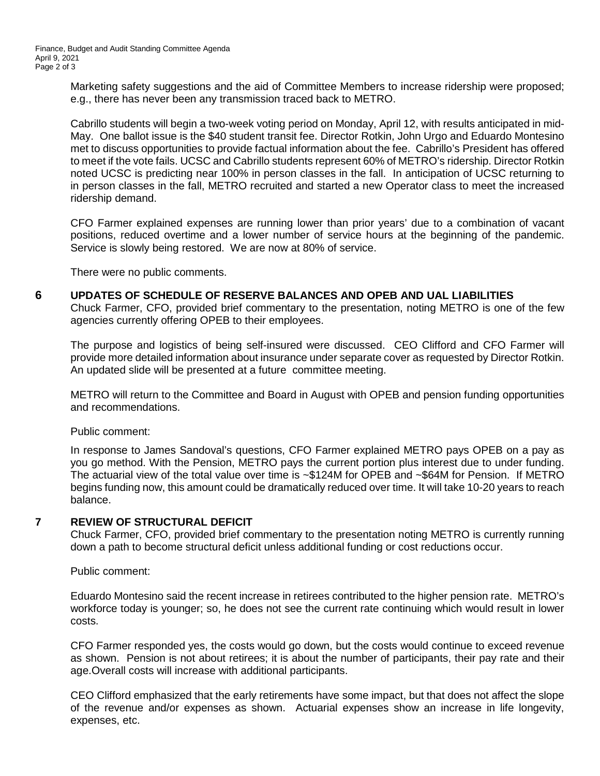Marketing safety suggestions and the aid of Committee Members to increase ridership were proposed; e.g., there has never been any transmission traced back to METRO.

Cabrillo students will begin a two-week voting period on Monday, April 12, with results anticipated in mid-May. One ballot issue is the \$40 student transit fee. Director Rotkin, John Urgo and Eduardo Montesino met to discuss opportunities to provide factual information about the fee. Cabrillo's President has offered to meet if the vote fails. UCSC and Cabrillo students represent 60% of METRO's ridership. Director Rotkin noted UCSC is predicting near 100% in person classes in the fall. In anticipation of UCSC returning to in person classes in the fall, METRO recruited and started a new Operator class to meet the increased ridership demand.

CFO Farmer explained expenses are running lower than prior years' due to a combination of vacant positions, reduced overtime and a lower number of service hours at the beginning of the pandemic. Service is slowly being restored. We are now at 80% of service.

There were no public comments.

**6 UPDATES OF SCHEDULE OF RESERVE BALANCES AND OPEB AND UAL LIABILITIES** 

Chuck Farmer, CFO, provided brief commentary to the presentation, noting METRO is one of the few agencies currently offering OPEB to their employees.

The purpose and logistics of being self-insured were discussed. CEO Clifford and CFO Farmer will provide more detailed information about insurance under separate cover as requested by Director Rotkin. An updated slide will be presented at a future committee meeting.

METRO will return to the Committee and Board in August with OPEB and pension funding opportunities and recommendations.

Public comment:

In response to James Sandoval's questions, CFO Farmer explained METRO pays OPEB on a pay as you go method. With the Pension, METRO pays the current portion plus interest due to under funding. The actuarial view of the total value over time is ~\$124M for OPEB and ~\$64M for Pension. If METRO begins funding now, this amount could be dramatically reduced over time. It will take 10-20 years to reach balance.

## **7 REVIEW OF STRUCTURAL DEFICIT**

Chuck Farmer, CFO, provided brief commentary to the presentation noting METRO is currently running down a path to become structural deficit unless additional funding or cost reductions occur.

Public comment:

Eduardo Montesino said the recent increase in retirees contributed to the higher pension rate. METRO's workforce today is younger; so, he does not see the current rate continuing which would result in lower costs.

CFO Farmer responded yes, the costs would go down, but the costs would continue to exceed revenue as shown. Pension is not about retirees; it is about the number of participants, their pay rate and their age.Overall costs will increase with additional participants.

CEO Clifford emphasized that the early retirements have some impact, but that does not affect the slope of the revenue and/or expenses as shown. Actuarial expenses show an increase in life longevity, expenses, etc.